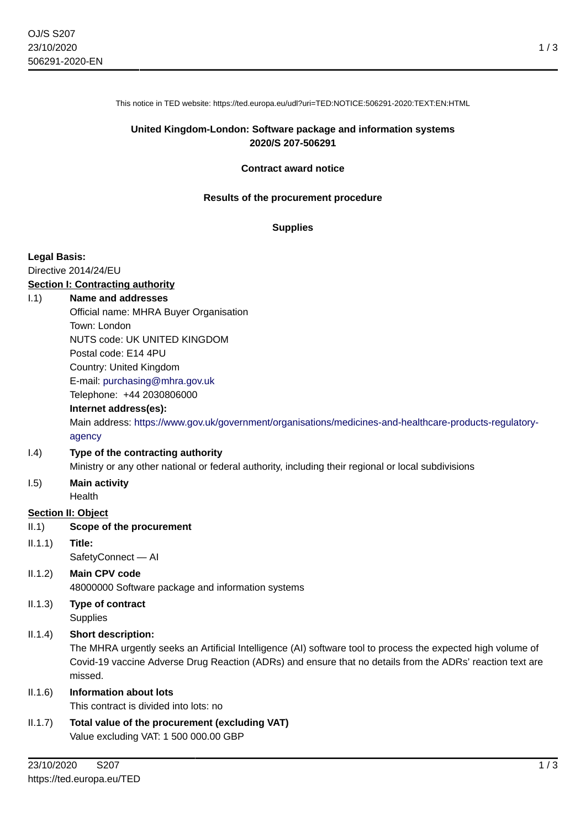This notice in TED website: https://ted.europa.eu/udl?uri=TED:NOTICE:506291-2020:TEXT:EN:HTML

## **United Kingdom-London: Software package and information systems 2020/S 207-506291**

#### **Contract award notice**

#### **Results of the procurement procedure**

#### **Supplies**

#### **Legal Basis:**

Directive 2014/24/EU

#### **Section I: Contracting authority**

#### I.1) **Name and addresses**

Official name: MHRA Buyer Organisation Town: London NUTS code: UK UNITED KINGDOM Postal code: E14 4PU Country: United Kingdom E-mail: [purchasing@mhra.gov.uk](mailto:purchasing@mhra.gov.uk) Telephone: +44 2030806000

# **Internet address(es):**

Main address: [https://www.gov.uk/government/organisations/medicines-and-healthcare-products-regulatory](https://www.gov.uk/government/organisations/medicines-and-healthcare-products-regulatory-agency)[agency](https://www.gov.uk/government/organisations/medicines-and-healthcare-products-regulatory-agency)

## I.4) **Type of the contracting authority**

Ministry or any other national or federal authority, including their regional or local subdivisions

#### I.5) **Main activity** Health

- **Section II: Object**
- II.1) **Scope of the procurement**
- II.1.1) **Title:** SafetyConnect — AI

# II.1.2) **Main CPV code**

48000000 Software package and information systems

II.1.3) **Type of contract Supplies** 

## II.1.4) **Short description:**

The MHRA urgently seeks an Artificial Intelligence (AI) software tool to process the expected high volume of Covid-19 vaccine Adverse Drug Reaction (ADRs) and ensure that no details from the ADRs' reaction text are missed.

## II.1.6) **Information about lots**

This contract is divided into lots: no

II.1.7) **Total value of the procurement (excluding VAT)** Value excluding VAT: 1 500 000.00 GBP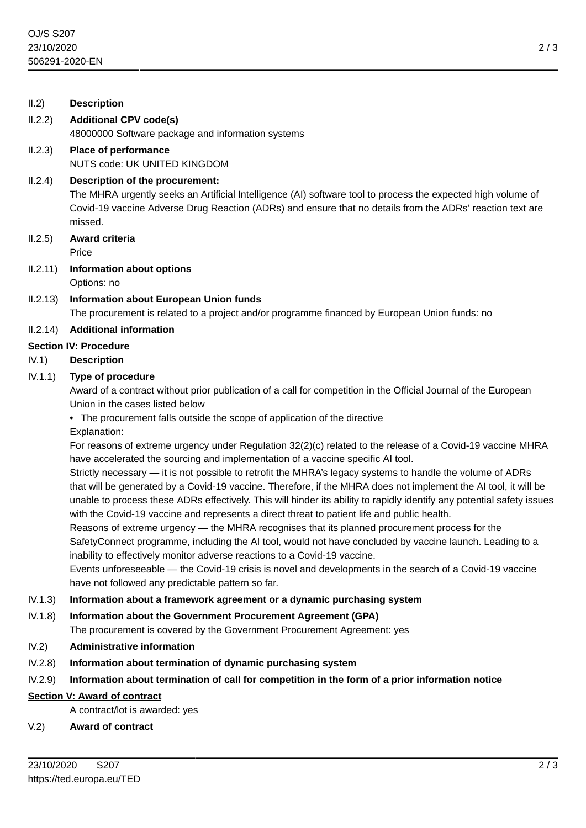## II.2) **Description**

## II.2.2) **Additional CPV code(s)** 48000000 Software package and information systems

## II.2.3) **Place of performance** NUTS code: UK UNITED KINGDOM

## II.2.4) **Description of the procurement:**

The MHRA urgently seeks an Artificial Intelligence (AI) software tool to process the expected high volume of Covid-19 vaccine Adverse Drug Reaction (ADRs) and ensure that no details from the ADRs' reaction text are missed.

- II.2.5) **Award criteria** Price
- II.2.11) **Information about options** Options: no

## II.2.13) **Information about European Union funds** The procurement is related to a project and/or programme financed by European Union funds: no

## II.2.14) **Additional information**

## **Section IV: Procedure**

## IV.1) **Description**

## IV.1.1) **Type of procedure**

Award of a contract without prior publication of a call for competition in the Official Journal of the European Union in the cases listed below

• The procurement falls outside the scope of application of the directive

Explanation:

For reasons of extreme urgency under Regulation 32(2)(c) related to the release of a Covid-19 vaccine MHRA have accelerated the sourcing and implementation of a vaccine specific AI tool.

Strictly necessary — it is not possible to retrofit the MHRA's legacy systems to handle the volume of ADRs that will be generated by a Covid-19 vaccine. Therefore, if the MHRA does not implement the AI tool, it will be unable to process these ADRs effectively. This will hinder its ability to rapidly identify any potential safety issues with the Covid-19 vaccine and represents a direct threat to patient life and public health.

Reasons of extreme urgency — the MHRA recognises that its planned procurement process for the SafetyConnect programme, including the AI tool, would not have concluded by vaccine launch. Leading to a inability to effectively monitor adverse reactions to a Covid-19 vaccine.

Events unforeseeable — the Covid-19 crisis is novel and developments in the search of a Covid-19 vaccine have not followed any predictable pattern so far.

# IV.1.3) **Information about a framework agreement or a dynamic purchasing system**

# IV.1.8) **Information about the Government Procurement Agreement (GPA)**

The procurement is covered by the Government Procurement Agreement: yes

# IV.2) **Administrative information**

# IV.2.8) **Information about termination of dynamic purchasing system**

# IV.2.9) **Information about termination of call for competition in the form of a prior information notice**

# **Section V: Award of contract**

A contract/lot is awarded: yes

# V.2) **Award of contract**